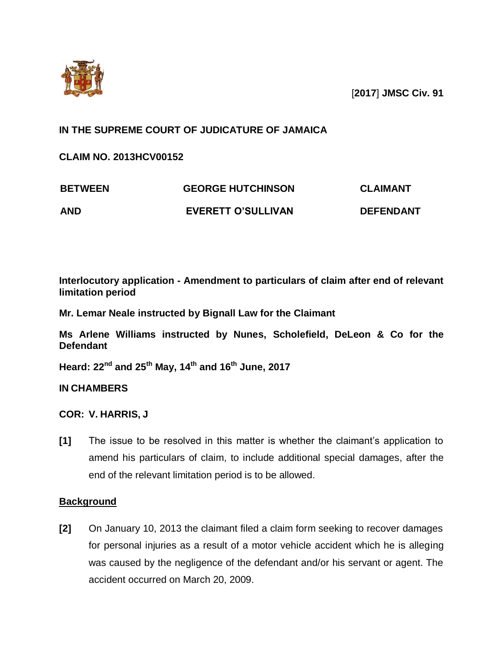

[**2017**] **JMSC Civ. 91**

# **IN THE SUPREME COURT OF JUDICATURE OF JAMAICA**

**CLAIM NO. 2013HCV00152**

| <b>BETWEEN</b> | <b>GEORGE HUTCHINSON</b>  | <b>CLAIMANT</b>  |
|----------------|---------------------------|------------------|
| <b>AND</b>     | <b>EVERETT O'SULLIVAN</b> | <b>DEFENDANT</b> |

**Interlocutory application - Amendment to particulars of claim after end of relevant limitation period**

**Mr. Lemar Neale instructed by Bignall Law for the Claimant**

**Ms Arlene Williams instructed by Nunes, Scholefield, DeLeon & Co for the Defendant**

**Heard: 22nd and 25th May, 14th and 16th June, 2017**

**IN CHAMBERS**

**COR: V. HARRIS, J**

**[1]** The issue to be resolved in this matter is whether the claimant's application to amend his particulars of claim, to include additional special damages, after the end of the relevant limitation period is to be allowed.

## **Background**

**[2]** On January 10, 2013 the claimant filed a claim form seeking to recover damages for personal injuries as a result of a motor vehicle accident which he is alleging was caused by the negligence of the defendant and/or his servant or agent. The accident occurred on March 20, 2009.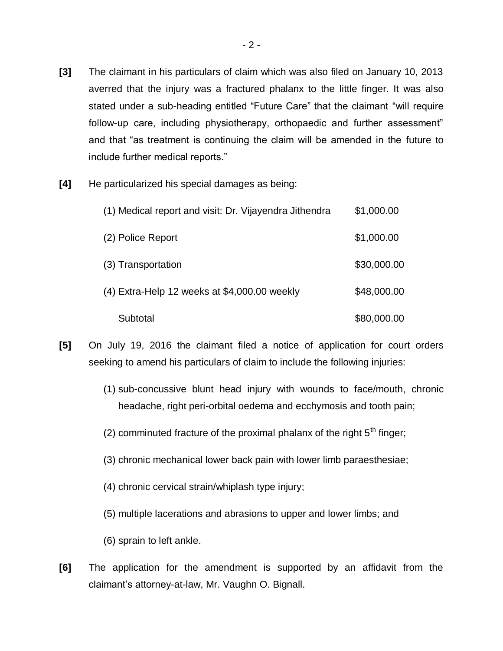- **[3]** The claimant in his particulars of claim which was also filed on January 10, 2013 averred that the injury was a fractured phalanx to the little finger. It was also stated under a sub-heading entitled "Future Care" that the claimant "will require follow-up care, including physiotherapy, orthopaedic and further assessment" and that "as treatment is continuing the claim will be amended in the future to include further medical reports."
- **[4]** He particularized his special damages as being:

| (1) Medical report and visit: Dr. Vijayendra Jithendra | \$1,000.00  |
|--------------------------------------------------------|-------------|
| (2) Police Report                                      | \$1,000.00  |
| (3) Transportation                                     | \$30,000.00 |
| (4) Extra-Help 12 weeks at \$4,000.00 weekly           | \$48,000.00 |
| Subtotal                                               | \$80,000.00 |

- **[5]** On July 19, 2016 the claimant filed a notice of application for court orders seeking to amend his particulars of claim to include the following injuries:
	- (1) sub-concussive blunt head injury with wounds to face/mouth, chronic headache, right peri-orbital oedema and ecchymosis and tooth pain;
	- (2) comminuted fracture of the proximal phalanx of the right  $5<sup>th</sup>$  finger;
	- (3) chronic mechanical lower back pain with lower limb paraesthesiae;
	- (4) chronic cervical strain/whiplash type injury;
	- (5) multiple lacerations and abrasions to upper and lower limbs; and
	- (6) sprain to left ankle.
- **[6]** The application for the amendment is supported by an affidavit from the claimant's attorney-at-law, Mr. Vaughn O. Bignall.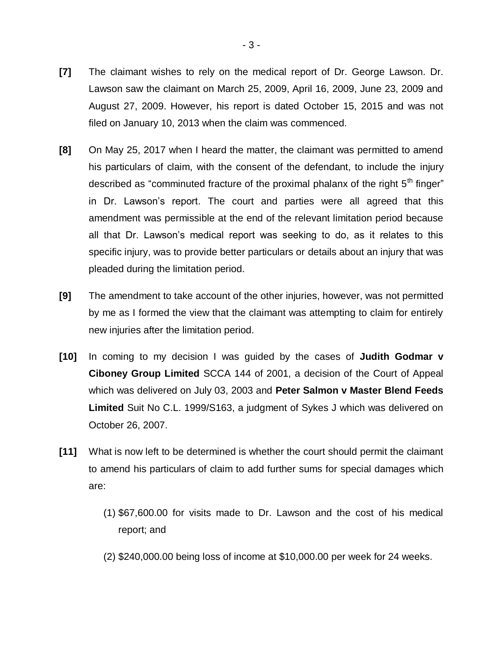- **[7]** The claimant wishes to rely on the medical report of Dr. George Lawson. Dr. Lawson saw the claimant on March 25, 2009, April 16, 2009, June 23, 2009 and August 27, 2009. However, his report is dated October 15, 2015 and was not filed on January 10, 2013 when the claim was commenced.
- **[8]** On May 25, 2017 when I heard the matter, the claimant was permitted to amend his particulars of claim, with the consent of the defendant, to include the injury described as "comminuted fracture of the proximal phalanx of the right  $5<sup>th</sup>$  finger" in Dr. Lawson's report. The court and parties were all agreed that this amendment was permissible at the end of the relevant limitation period because all that Dr. Lawson's medical report was seeking to do, as it relates to this specific injury, was to provide better particulars or details about an injury that was pleaded during the limitation period.
- **[9]** The amendment to take account of the other injuries, however, was not permitted by me as I formed the view that the claimant was attempting to claim for entirely new injuries after the limitation period.
- **[10]** In coming to my decision I was guided by the cases of **Judith Godmar v Ciboney Group Limited** SCCA 144 of 2001, a decision of the Court of Appeal which was delivered on July 03, 2003 and **Peter Salmon v Master Blend Feeds Limited** Suit No C.L. 1999/S163, a judgment of Sykes J which was delivered on October 26, 2007.
- **[11]** What is now left to be determined is whether the court should permit the claimant to amend his particulars of claim to add further sums for special damages which are:
	- (1) \$67,600.00 for visits made to Dr. Lawson and the cost of his medical report; and
	- (2) \$240,000.00 being loss of income at \$10,000.00 per week for 24 weeks.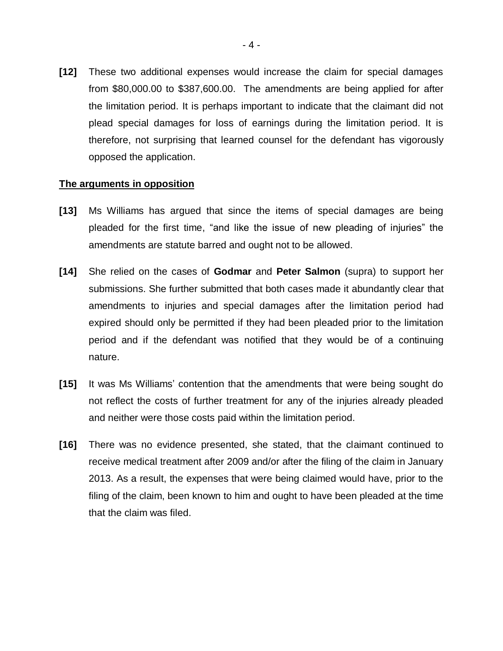**[12]** These two additional expenses would increase the claim for special damages from \$80,000.00 to \$387,600.00. The amendments are being applied for after the limitation period. It is perhaps important to indicate that the claimant did not plead special damages for loss of earnings during the limitation period. It is therefore, not surprising that learned counsel for the defendant has vigorously opposed the application.

### **The arguments in opposition**

- **[13]** Ms Williams has argued that since the items of special damages are being pleaded for the first time, "and like the issue of new pleading of injuries" the amendments are statute barred and ought not to be allowed.
- **[14]** She relied on the cases of **Godmar** and **Peter Salmon** (supra) to support her submissions. She further submitted that both cases made it abundantly clear that amendments to injuries and special damages after the limitation period had expired should only be permitted if they had been pleaded prior to the limitation period and if the defendant was notified that they would be of a continuing nature.
- **[15]** It was Ms Williams' contention that the amendments that were being sought do not reflect the costs of further treatment for any of the injuries already pleaded and neither were those costs paid within the limitation period.
- **[16]** There was no evidence presented, she stated, that the claimant continued to receive medical treatment after 2009 and/or after the filing of the claim in January 2013. As a result, the expenses that were being claimed would have, prior to the filing of the claim, been known to him and ought to have been pleaded at the time that the claim was filed.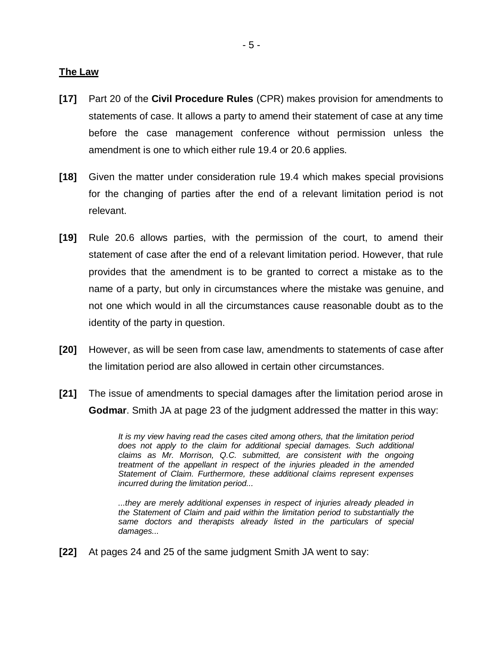#### **The Law**

- **[17]** Part 20 of the **Civil Procedure Rules** (CPR) makes provision for amendments to statements of case. It allows a party to amend their statement of case at any time before the case management conference without permission unless the amendment is one to which either rule 19.4 or 20.6 applies.
- **[18]** Given the matter under consideration rule 19.4 which makes special provisions for the changing of parties after the end of a relevant limitation period is not relevant.
- **[19]** Rule 20.6 allows parties, with the permission of the court, to amend their statement of case after the end of a relevant limitation period. However, that rule provides that the amendment is to be granted to correct a mistake as to the name of a party, but only in circumstances where the mistake was genuine, and not one which would in all the circumstances cause reasonable doubt as to the identity of the party in question.
- **[20]** However, as will be seen from case law, amendments to statements of case after the limitation period are also allowed in certain other circumstances.
- **[21]** The issue of amendments to special damages after the limitation period arose in **Godmar**. Smith JA at page 23 of the judgment addressed the matter in this way:

*It is my view having read the cases cited among others, that the limitation period does not apply to the claim for additional special damages. Such additional claims as Mr. Morrison, Q.C. submitted, are consistent with the ongoing treatment of the appellant in respect of the injuries pleaded in the amended Statement of Claim. Furthermore, these additional claims represent expenses incurred during the limitation period...*

*...they are merely additional expenses in respect of injuries already pleaded in the Statement of Claim and paid within the limitation period to substantially the same doctors and therapists already listed in the particulars of special damages...*

**[22]** At pages 24 and 25 of the same judgment Smith JA went to say: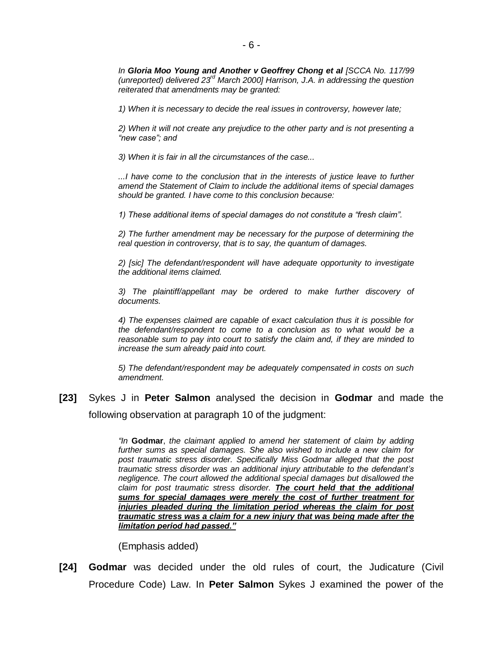*In Gloria Moo Young and Another v Geoffrey Chong et al [SCCA No. 117/99 (unreported) delivered 23rd March 2000] Harrison, J.A. in addressing the question reiterated that amendments may be granted:*

*1) When it is necessary to decide the real issues in controversy, however late;*

*2) When it will not create any prejudice to the other party and is not presenting a "new case"; and* 

*3) When it is fair in all the circumstances of the case...*

*...I have come to the conclusion that in the interests of justice leave to further amend the Statement of Claim to include the additional items of special damages should be granted. I have come to this conclusion because:*

*1) These additional items of special damages do not constitute a "fresh claim".*

*2) The further amendment may be necessary for the purpose of determining the real question in controversy, that is to say, the quantum of damages.*

*2) [sic] The defendant/respondent will have adequate opportunity to investigate the additional items claimed.*

*3) The plaintiff/appellant may be ordered to make further discovery of documents.*

*4) The expenses claimed are capable of exact calculation thus it is possible for the defendant/respondent to come to a conclusion as to what would be a reasonable sum to pay into court to satisfy the claim and, if they are minded to increase the sum already paid into court.*

*5) The defendant/respondent may be adequately compensated in costs on such amendment.*

**[23]** Sykes J in **Peter Salmon** analysed the decision in **Godmar** and made the following observation at paragraph 10 of the judgment:

> *"In* **Godmar**, *the claimant applied to amend her statement of claim by adding further sums as special damages. She also wished to include a new claim for post traumatic stress disorder. Specifically Miss Godmar alleged that the post traumatic stress disorder was an additional injury attributable to the defendant's negligence. The court allowed the additional special damages but disallowed the claim for post traumatic stress disorder. The court held that the additional sums for special damages were merely the cost of further treatment for injuries pleaded during the limitation period whereas the claim for post traumatic stress was a claim for a new injury that was being made after the limitation period had passed."*

(Emphasis added)

**[24] Godmar** was decided under the old rules of court, the Judicature (Civil Procedure Code) Law. In **Peter Salmon** Sykes J examined the power of the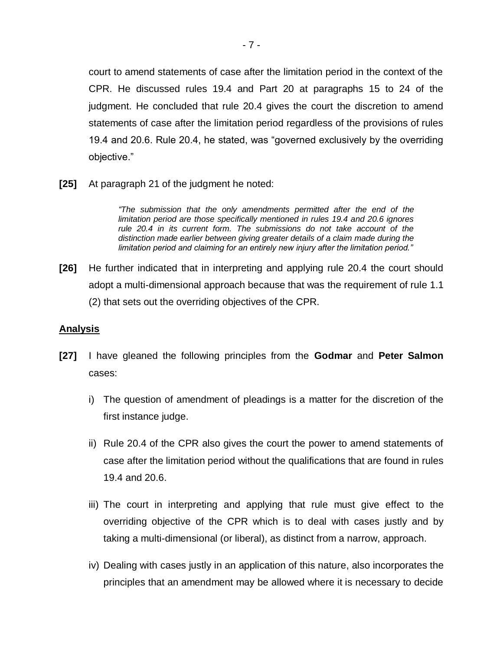court to amend statements of case after the limitation period in the context of the CPR. He discussed rules 19.4 and Part 20 at paragraphs 15 to 24 of the judgment. He concluded that rule 20.4 gives the court the discretion to amend statements of case after the limitation period regardless of the provisions of rules 19.4 and 20.6. Rule 20.4, he stated, was "governed exclusively by the overriding objective."

**[25]** At paragraph 21 of the judgment he noted:

*"The submission that the only amendments permitted after the end of the limitation period are those specifically mentioned in rules 19.4 and 20.6 ignores rule 20.4 in its current form. The submissions do not take account of the distinction made earlier between giving greater details of a claim made during the limitation period and claiming for an entirely new injury after the limitation period."*

**[26]** He further indicated that in interpreting and applying rule 20.4 the court should adopt a multi-dimensional approach because that was the requirement of rule 1.1 (2) that sets out the overriding objectives of the CPR.

## **Analysis**

- **[27]** I have gleaned the following principles from the **Godmar** and **Peter Salmon** cases:
	- i) The question of amendment of pleadings is a matter for the discretion of the first instance judge.
	- ii) Rule 20.4 of the CPR also gives the court the power to amend statements of case after the limitation period without the qualifications that are found in rules 19.4 and 20.6.
	- iii) The court in interpreting and applying that rule must give effect to the overriding objective of the CPR which is to deal with cases justly and by taking a multi-dimensional (or liberal), as distinct from a narrow, approach.
	- iv) Dealing with cases justly in an application of this nature, also incorporates the principles that an amendment may be allowed where it is necessary to decide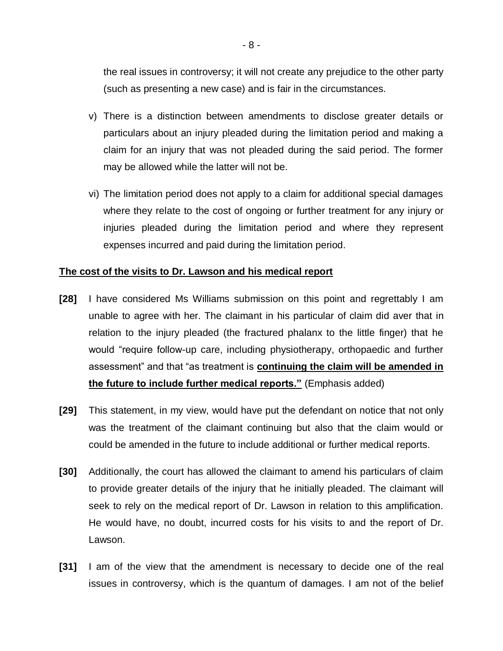the real issues in controversy; it will not create any prejudice to the other party (such as presenting a new case) and is fair in the circumstances.

- v) There is a distinction between amendments to disclose greater details or particulars about an injury pleaded during the limitation period and making a claim for an injury that was not pleaded during the said period. The former may be allowed while the latter will not be.
- vi) The limitation period does not apply to a claim for additional special damages where they relate to the cost of ongoing or further treatment for any injury or injuries pleaded during the limitation period and where they represent expenses incurred and paid during the limitation period.

## **The cost of the visits to Dr. Lawson and his medical report**

- **[28]** I have considered Ms Williams submission on this point and regrettably I am unable to agree with her. The claimant in his particular of claim did aver that in relation to the injury pleaded (the fractured phalanx to the little finger) that he would "require follow-up care, including physiotherapy, orthopaedic and further assessment" and that "as treatment is **continuing the claim will be amended in the future to include further medical reports."** (Emphasis added)
- **[29]** This statement, in my view, would have put the defendant on notice that not only was the treatment of the claimant continuing but also that the claim would or could be amended in the future to include additional or further medical reports.
- **[30]** Additionally, the court has allowed the claimant to amend his particulars of claim to provide greater details of the injury that he initially pleaded. The claimant will seek to rely on the medical report of Dr. Lawson in relation to this amplification. He would have, no doubt, incurred costs for his visits to and the report of Dr. Lawson.
- **[31]** I am of the view that the amendment is necessary to decide one of the real issues in controversy, which is the quantum of damages. I am not of the belief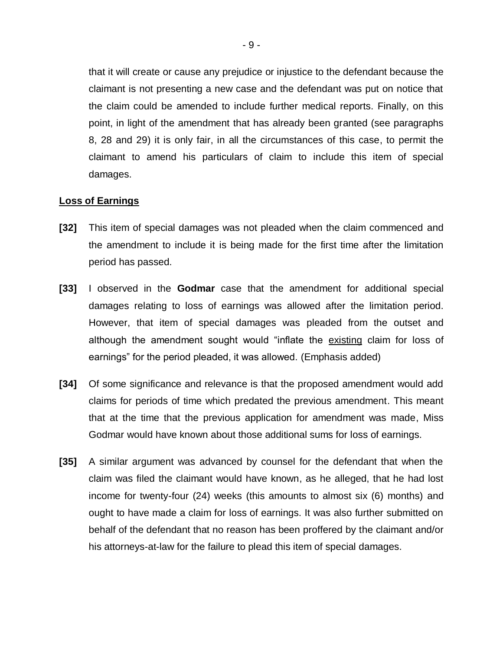that it will create or cause any prejudice or injustice to the defendant because the claimant is not presenting a new case and the defendant was put on notice that the claim could be amended to include further medical reports. Finally, on this point, in light of the amendment that has already been granted (see paragraphs 8, 28 and 29) it is only fair, in all the circumstances of this case, to permit the claimant to amend his particulars of claim to include this item of special damages.

### **Loss of Earnings**

- **[32]** This item of special damages was not pleaded when the claim commenced and the amendment to include it is being made for the first time after the limitation period has passed.
- **[33]** I observed in the **Godmar** case that the amendment for additional special damages relating to loss of earnings was allowed after the limitation period. However, that item of special damages was pleaded from the outset and although the amendment sought would "inflate the existing claim for loss of earnings" for the period pleaded, it was allowed. (Emphasis added)
- **[34]** Of some significance and relevance is that the proposed amendment would add claims for periods of time which predated the previous amendment. This meant that at the time that the previous application for amendment was made, Miss Godmar would have known about those additional sums for loss of earnings.
- **[35]** A similar argument was advanced by counsel for the defendant that when the claim was filed the claimant would have known, as he alleged, that he had lost income for twenty-four (24) weeks (this amounts to almost six (6) months) and ought to have made a claim for loss of earnings. It was also further submitted on behalf of the defendant that no reason has been proffered by the claimant and/or his attorneys-at-law for the failure to plead this item of special damages.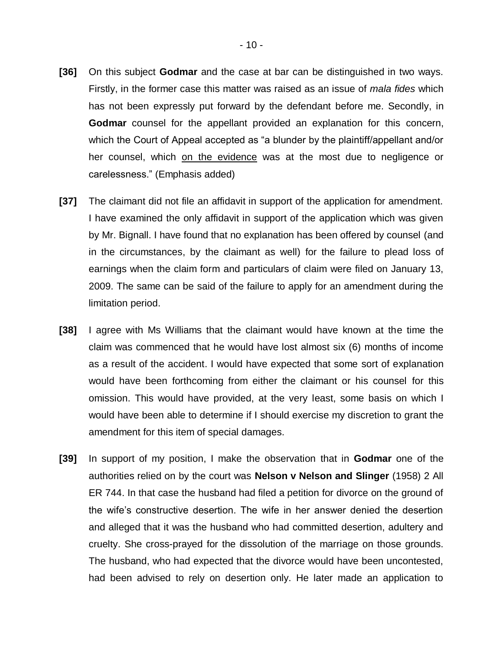- **[36]** On this subject **Godmar** and the case at bar can be distinguished in two ways. Firstly, in the former case this matter was raised as an issue of *mala fides* which has not been expressly put forward by the defendant before me. Secondly, in **Godmar** counsel for the appellant provided an explanation for this concern, which the Court of Appeal accepted as "a blunder by the plaintiff/appellant and/or her counsel, which on the evidence was at the most due to negligence or carelessness." (Emphasis added)
- **[37]** The claimant did not file an affidavit in support of the application for amendment. I have examined the only affidavit in support of the application which was given by Mr. Bignall. I have found that no explanation has been offered by counsel (and in the circumstances, by the claimant as well) for the failure to plead loss of earnings when the claim form and particulars of claim were filed on January 13, 2009. The same can be said of the failure to apply for an amendment during the limitation period.
- **[38]** I agree with Ms Williams that the claimant would have known at the time the claim was commenced that he would have lost almost six (6) months of income as a result of the accident. I would have expected that some sort of explanation would have been forthcoming from either the claimant or his counsel for this omission. This would have provided, at the very least, some basis on which I would have been able to determine if I should exercise my discretion to grant the amendment for this item of special damages.
- **[39]** In support of my position, I make the observation that in **Godmar** one of the authorities relied on by the court was **Nelson v Nelson and Slinger** (1958) 2 All ER 744. In that case the husband had filed a petition for divorce on the ground of the wife's constructive desertion. The wife in her answer denied the desertion and alleged that it was the husband who had committed desertion, adultery and cruelty. She cross-prayed for the dissolution of the marriage on those grounds. The husband, who had expected that the divorce would have been uncontested, had been advised to rely on desertion only. He later made an application to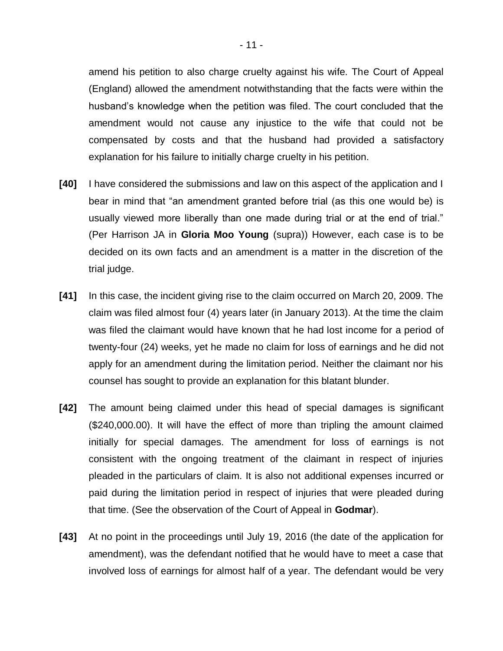amend his petition to also charge cruelty against his wife. The Court of Appeal (England) allowed the amendment notwithstanding that the facts were within the husband's knowledge when the petition was filed. The court concluded that the amendment would not cause any injustice to the wife that could not be compensated by costs and that the husband had provided a satisfactory explanation for his failure to initially charge cruelty in his petition.

- **[40]** I have considered the submissions and law on this aspect of the application and I bear in mind that "an amendment granted before trial (as this one would be) is usually viewed more liberally than one made during trial or at the end of trial." (Per Harrison JA in **Gloria Moo Young** (supra)) However, each case is to be decided on its own facts and an amendment is a matter in the discretion of the trial judge.
- **[41]** In this case, the incident giving rise to the claim occurred on March 20, 2009. The claim was filed almost four (4) years later (in January 2013). At the time the claim was filed the claimant would have known that he had lost income for a period of twenty-four (24) weeks, yet he made no claim for loss of earnings and he did not apply for an amendment during the limitation period. Neither the claimant nor his counsel has sought to provide an explanation for this blatant blunder.
- **[42]** The amount being claimed under this head of special damages is significant (\$240,000.00). It will have the effect of more than tripling the amount claimed initially for special damages. The amendment for loss of earnings is not consistent with the ongoing treatment of the claimant in respect of injuries pleaded in the particulars of claim. It is also not additional expenses incurred or paid during the limitation period in respect of injuries that were pleaded during that time. (See the observation of the Court of Appeal in **Godmar**).
- **[43]** At no point in the proceedings until July 19, 2016 (the date of the application for amendment), was the defendant notified that he would have to meet a case that involved loss of earnings for almost half of a year. The defendant would be very